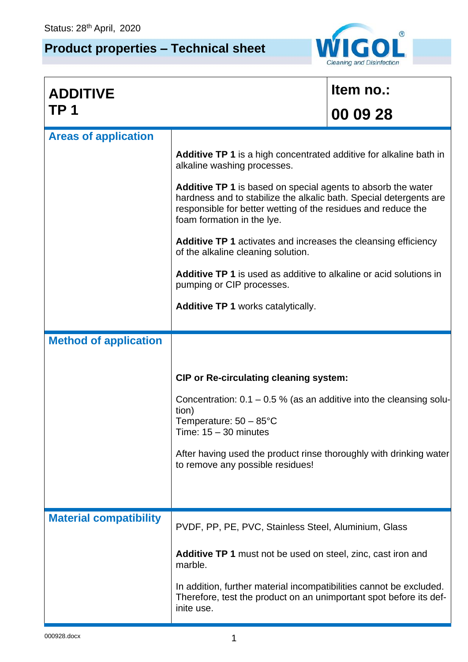## **Product properties – Technical sheet**



| <b>ADDITIVE</b>               |                                                                                                                                                                                                                                   | Item no.: |  |
|-------------------------------|-----------------------------------------------------------------------------------------------------------------------------------------------------------------------------------------------------------------------------------|-----------|--|
| TP <sub>1</sub>               |                                                                                                                                                                                                                                   | 00 09 28  |  |
| <b>Areas of application</b>   |                                                                                                                                                                                                                                   |           |  |
|                               | <b>Additive TP 1</b> is a high concentrated additive for alkaline bath in<br>alkaline washing processes.                                                                                                                          |           |  |
|                               | Additive TP 1 is based on special agents to absorb the water<br>hardness and to stabilize the alkalic bath. Special detergents are<br>responsible for better wetting of the residues and reduce the<br>foam formation in the lye. |           |  |
|                               | <b>Additive TP 1</b> activates and increases the cleansing efficiency<br>of the alkaline cleaning solution.                                                                                                                       |           |  |
|                               | Additive TP 1 is used as additive to alkaline or acid solutions in<br>pumping or CIP processes.                                                                                                                                   |           |  |
|                               | <b>Additive TP 1 works catalytically.</b>                                                                                                                                                                                         |           |  |
| <b>Method of application</b>  |                                                                                                                                                                                                                                   |           |  |
|                               |                                                                                                                                                                                                                                   |           |  |
|                               | <b>CIP or Re-circulating cleaning system:</b>                                                                                                                                                                                     |           |  |
|                               | Concentration: $0.1 - 0.5$ % (as an additive into the cleansing solu-<br>tion)<br>Temperature: $50 - 85^{\circ}$ C<br>Time: $15 - 30$ minutes                                                                                     |           |  |
|                               | After having used the product rinse thoroughly with drinking water<br>to remove any possible residues!                                                                                                                            |           |  |
|                               |                                                                                                                                                                                                                                   |           |  |
| <b>Material compatibility</b> | PVDF, PP, PE, PVC, Stainless Steel, Aluminium, Glass                                                                                                                                                                              |           |  |
|                               | <b>Additive TP 1</b> must not be used on steel, zinc, cast iron and<br>marble.                                                                                                                                                    |           |  |
|                               | In addition, further material incompatibilities cannot be excluded.<br>Therefore, test the product on an unimportant spot before its def-<br>inite use.                                                                           |           |  |